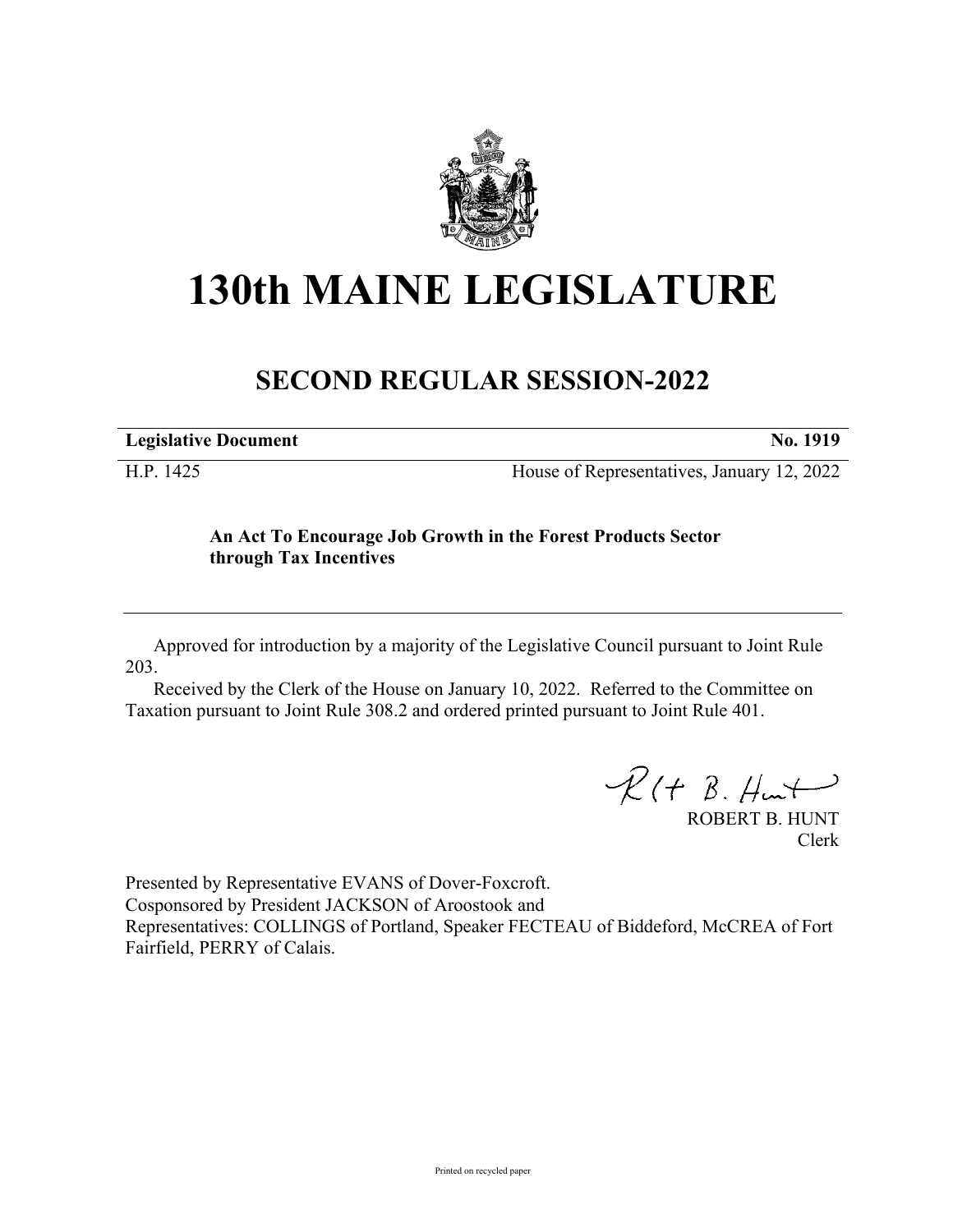

## **130th MAINE LEGISLATURE**

## **SECOND REGULAR SESSION-2022**

**Legislative Document No. 1919**

H.P. 1425 House of Representatives, January 12, 2022

## **An Act To Encourage Job Growth in the Forest Products Sector through Tax Incentives**

Approved for introduction by a majority of the Legislative Council pursuant to Joint Rule 203.

Received by the Clerk of the House on January 10, 2022. Referred to the Committee on Taxation pursuant to Joint Rule 308.2 and ordered printed pursuant to Joint Rule 401.

 $R(H B. H<sub>un</sub>+)$ 

ROBERT B. HUNT Clerk

Presented by Representative EVANS of Dover-Foxcroft. Cosponsored by President JACKSON of Aroostook and Representatives: COLLINGS of Portland, Speaker FECTEAU of Biddeford, McCREA of Fort Fairfield, PERRY of Calais.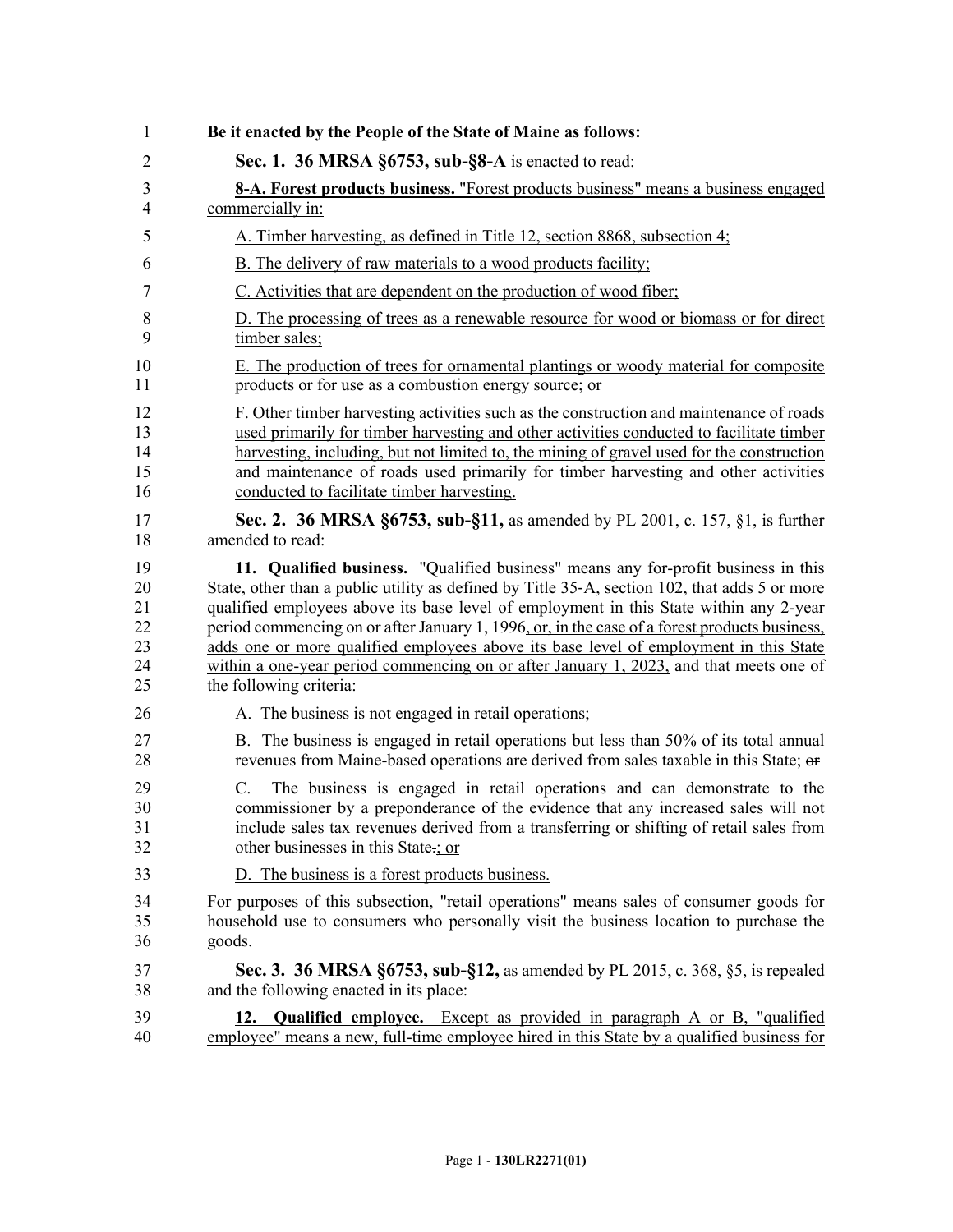| 1                    | Be it enacted by the People of the State of Maine as follows:                                                                                                                                                                                                                                        |
|----------------------|------------------------------------------------------------------------------------------------------------------------------------------------------------------------------------------------------------------------------------------------------------------------------------------------------|
| $\overline{2}$       | Sec. 1. 36 MRSA §6753, sub-§8-A is enacted to read:                                                                                                                                                                                                                                                  |
| 3                    | 8-A. Forest products business. "Forest products business" means a business engaged                                                                                                                                                                                                                   |
| $\overline{4}$       | commercially in:                                                                                                                                                                                                                                                                                     |
| 5                    | A. Timber harvesting, as defined in Title 12, section 8868, subsection 4;                                                                                                                                                                                                                            |
| 6                    | <b>B.</b> The delivery of raw materials to a wood products facility;                                                                                                                                                                                                                                 |
| 7                    | C. Activities that are dependent on the production of wood fiber;                                                                                                                                                                                                                                    |
| 8                    | D. The processing of trees as a renewable resource for wood or biomass or for direct                                                                                                                                                                                                                 |
| 9                    | timber sales;                                                                                                                                                                                                                                                                                        |
| 10                   | E. The production of trees for ornamental plantings or woody material for composite                                                                                                                                                                                                                  |
| 11                   | products or for use as a combustion energy source; or                                                                                                                                                                                                                                                |
| 12                   | F. Other timber harvesting activities such as the construction and maintenance of roads                                                                                                                                                                                                              |
| 13                   | used primarily for timber harvesting and other activities conducted to facilitate timber                                                                                                                                                                                                             |
| 14                   | harvesting, including, but not limited to, the mining of gravel used for the construction                                                                                                                                                                                                            |
| 15                   | and maintenance of roads used primarily for timber harvesting and other activities                                                                                                                                                                                                                   |
| 16                   | conducted to facilitate timber harvesting.                                                                                                                                                                                                                                                           |
| 17                   | Sec. 2. 36 MRSA §6753, sub-§11, as amended by PL 2001, c. 157, §1, is further                                                                                                                                                                                                                        |
| 18                   | amended to read:                                                                                                                                                                                                                                                                                     |
| 19                   | 11. Qualified business. "Qualified business" means any for-profit business in this                                                                                                                                                                                                                   |
| 20                   | State, other than a public utility as defined by Title 35-A, section 102, that adds 5 or more                                                                                                                                                                                                        |
| 21                   | qualified employees above its base level of employment in this State within any 2-year                                                                                                                                                                                                               |
| 22                   | period commencing on or after January 1, 1996, or, in the case of a forest products business,                                                                                                                                                                                                        |
| 23                   | adds one or more qualified employees above its base level of employment in this State                                                                                                                                                                                                                |
| 24                   | within a one-year period commencing on or after January 1, 2023, and that meets one of                                                                                                                                                                                                               |
| 25                   | the following criteria:                                                                                                                                                                                                                                                                              |
| 26                   | A. The business is not engaged in retail operations;                                                                                                                                                                                                                                                 |
| 27                   | B. The business is engaged in retail operations but less than 50% of its total annual                                                                                                                                                                                                                |
| 28                   | revenues from Maine-based operations are derived from sales taxable in this State; or                                                                                                                                                                                                                |
| 29<br>30<br>31<br>32 | The business is engaged in retail operations and can demonstrate to the<br>C.<br>commissioner by a preponderance of the evidence that any increased sales will not<br>include sales tax revenues derived from a transferring or shifting of retail sales from<br>other businesses in this State-; or |
| 33                   | D. The business is a forest products business.                                                                                                                                                                                                                                                       |
| 34                   | For purposes of this subsection, "retail operations" means sales of consumer goods for                                                                                                                                                                                                               |
| 35                   | household use to consumers who personally visit the business location to purchase the                                                                                                                                                                                                                |
| 36                   | goods.                                                                                                                                                                                                                                                                                               |
| 37                   | Sec. 3. 36 MRSA §6753, sub-§12, as amended by PL 2015, c. 368, §5, is repealed                                                                                                                                                                                                                       |
| 38                   | and the following enacted in its place:                                                                                                                                                                                                                                                              |
| 39                   | 12. Qualified employee. Except as provided in paragraph A or B, "qualified                                                                                                                                                                                                                           |
| 40                   | employee" means a new, full-time employee hired in this State by a qualified business for                                                                                                                                                                                                            |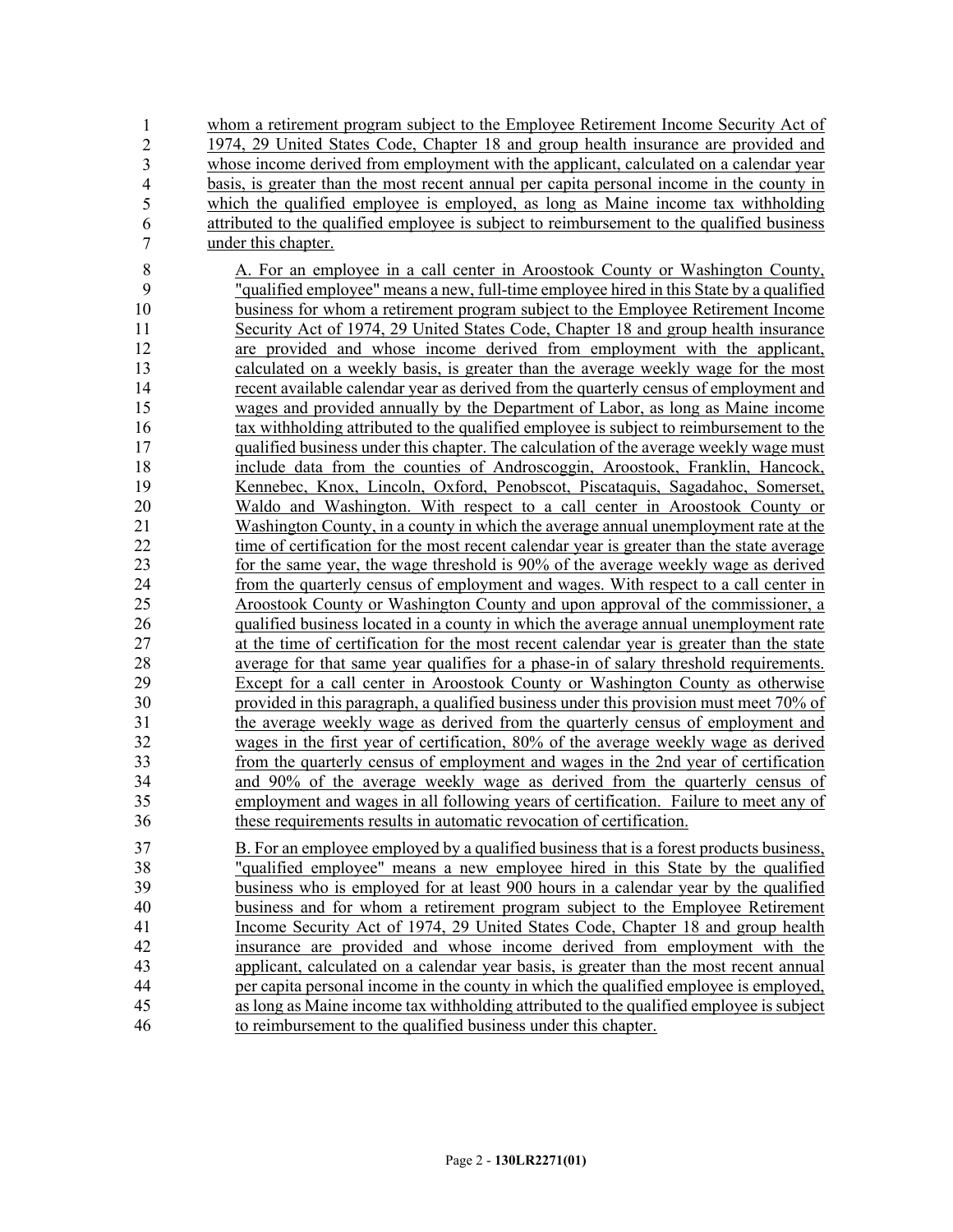whom a retirement program subject to the Employee Retirement Income Security Act of 42 1974, 29 United States Code, Chapter 18 and group health insurance are provided and whose income derived from employment with the applicant, calculated on a calendar year 44 basis, is greater than the most recent annual per capita personal income in the county in which the qualified employee is employed, as long as Maine income tax withholding 46 attributed to the qualified employee is subject to reimbursement to the qualified business under this chapter. 1 2 3 4 5 6 7

8 A. For an employee in a call center in Aroostook County or Washington County, 9 "qualified employee" means a new, full-time employee hired in this State by a qualified 10 business for whom a retirement program subject to the Employee Retirement Income 11 Security Act of 1974, 29 United States Code, Chapter 18 and group health insurance 12 are provided and whose income derived from employment with the applicant, 13 calculated on a weekly basis, is greater than the average weekly wage for the most 14 recent available calendar year as derived from the quarterly census of employment and 15 wages and provided annually by the Department of Labor, as long as Maine income 16 tax withholding attributed to the qualified employee is subject to reimbursement to the 17 qualified business under this chapter. The calculation of the average weekly wage must 18 include data from the counties of Androscoggin, Aroostook, Franklin, Hancock, 19 Kennebec, Knox, Lincoln, Oxford, Penobscot, Piscataquis, Sagadahoc, Somerset, 20 Waldo and Washington. With respect to a call center in Aroostook County or 21 Washington County, in a county in which the average annual unemployment rate at the 22 time of certification for the most recent calendar year is greater than the state average 23 for the same year, the wage threshold is 90% of the average weekly wage as derived 24 from the quarterly census of employment and wages. With respect to a call center in 25 Aroostook County or Washington County and upon approval of the commissioner, a 26 qualified business located in a county in which the average annual unemployment rate 27 at the time of certification for the most recent calendar year is greater than the state 28 average for that same year qualifies for a phase-in of salary threshold requirements. 29 Except for a call center in Aroostook County or Washington County as otherwise 30 provided in this paragraph, a qualified business under this provision must meet 70% of 31 the average weekly wage as derived from the quarterly census of employment and 32 wages in the first year of certification, 80% of the average weekly wage as derived 33 from the quarterly census of employment and wages in the 2nd year of certification 34 and 90% of the average weekly wage as derived from the quarterly census of 35 employment and wages in all following years of certification. Failure to meet any of 36 these requirements results in automatic revocation of certification.

37 B. For an employee employed by a qualified business that is a forest products business, 38 "qualified employee" means a new employee hired in this State by the qualified 39 business who is employed for at least 900 hours in a calendar year by the qualified 40 business and for whom a retirement program subject to the Employee Retirement 41 Income Security Act of 1974, 29 United States Code, Chapter 18 and group health 42 insurance are provided and whose income derived from employment with the 43 applicant, calculated on a calendar year basis, is greater than the most recent annual 44 per capita personal income in the county in which the qualified employee is employed, 45 as long as Maine income tax withholding attributed to the qualified employee is subject 46 to reimbursement to the qualified business under this chapter.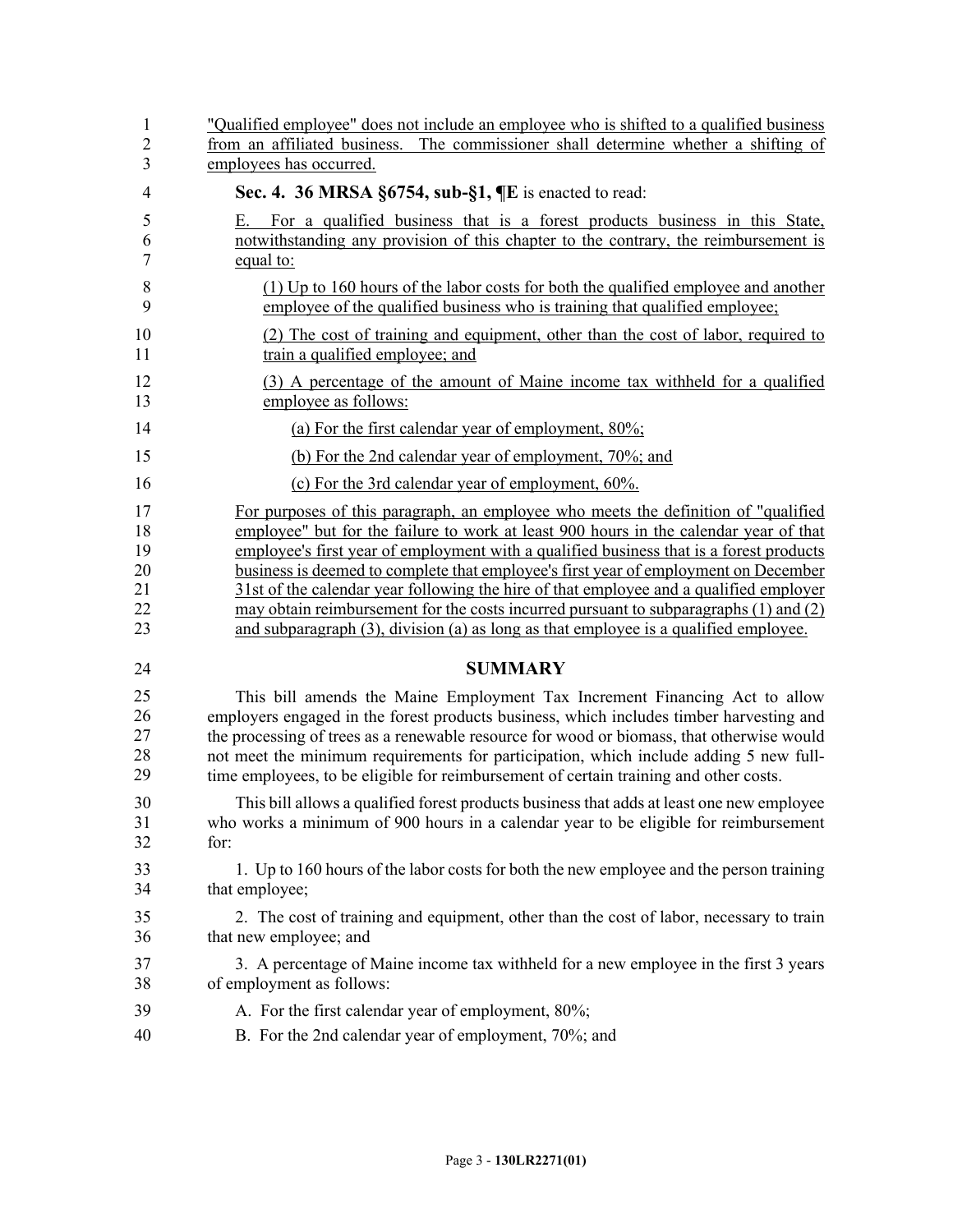| $\mathbf{1}$     | "Qualified employee" does not include an employee who is shifted to a qualified business                                                                                             |
|------------------|--------------------------------------------------------------------------------------------------------------------------------------------------------------------------------------|
| $\sqrt{2}$       | from an affiliated business. The commissioner shall determine whether a shifting of                                                                                                  |
| $\overline{3}$   | employees has occurred.                                                                                                                                                              |
| $\overline{4}$   | Sec. 4. 36 MRSA §6754, sub-§1, ¶E is enacted to read:                                                                                                                                |
| 5<br>6<br>$\tau$ | For a qualified business that is a forest products business in this State,<br>Е.<br>notwithstanding any provision of this chapter to the contrary, the reimbursement is<br>equal to: |
| 8                | (1) Up to 160 hours of the labor costs for both the qualified employee and another                                                                                                   |
| 9                | employee of the qualified business who is training that qualified employee;                                                                                                          |
| 10               | (2) The cost of training and equipment, other than the cost of labor, required to                                                                                                    |
| 11               | train a qualified employee; and                                                                                                                                                      |
| 12               | (3) A percentage of the amount of Maine income tax withheld for a qualified                                                                                                          |
| 13               | employee as follows:                                                                                                                                                                 |
| 14               | (a) For the first calendar year of employment, $80\%$ ;                                                                                                                              |
| 15               | (b) For the 2nd calendar year of employment, 70%; and                                                                                                                                |
| 16               | (c) For the 3rd calendar year of employment, 60%.                                                                                                                                    |
| 17               | For purposes of this paragraph, an employee who meets the definition of "qualified"                                                                                                  |
| 18               | employee" but for the failure to work at least 900 hours in the calendar year of that                                                                                                |
| 19               | employee's first year of employment with a qualified business that is a forest products                                                                                              |
| 20               | business is deemed to complete that employee's first year of employment on December                                                                                                  |
| 21               | 31st of the calendar year following the hire of that employee and a qualified employer                                                                                               |
| 22               | may obtain reimbursement for the costs incurred pursuant to subparagraphs $(1)$ and $(2)$                                                                                            |
| 23               | and subparagraph (3), division (a) as long as that employee is a qualified employee.                                                                                                 |
| 24               | <b>SUMMARY</b>                                                                                                                                                                       |
| 25               | This bill amends the Maine Employment Tax Increment Financing Act to allow                                                                                                           |
| 26               | employers engaged in the forest products business, which includes timber harvesting and                                                                                              |
| 27               | the processing of trees as a renewable resource for wood or biomass, that otherwise would                                                                                            |
| 28               | not meet the minimum requirements for participation, which include adding 5 new full-                                                                                                |
| 29               | time employees, to be eligible for reimbursement of certain training and other costs.                                                                                                |
| 30               | This bill allows a qualified forest products business that adds at least one new employee                                                                                            |
| 31               | who works a minimum of 900 hours in a calendar year to be eligible for reimbursement                                                                                                 |
| 32               | for:                                                                                                                                                                                 |
| 33               | 1. Up to 160 hours of the labor costs for both the new employee and the person training                                                                                              |
| 34               | that employee;                                                                                                                                                                       |
| 35               | 2. The cost of training and equipment, other than the cost of labor, necessary to train                                                                                              |
| 36               | that new employee; and                                                                                                                                                               |
| 37               | 3. A percentage of Maine income tax withheld for a new employee in the first 3 years                                                                                                 |
| 38               | of employment as follows:                                                                                                                                                            |
| 39               | A. For the first calendar year of employment, 80%;                                                                                                                                   |
| 40               | B. For the 2nd calendar year of employment, 70%; and                                                                                                                                 |